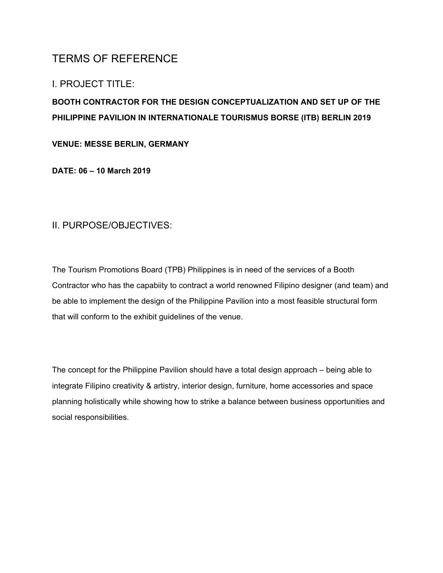# TERMS OF REFERENCE

## I. PROJECT TITLE:

## **BOOTH CONTRACTOR FOR THE DESIGN CONCEPTUALIZATION AND SET UP OF THE PHILIPPINE PAVILION IN INTERNATIONALE TOURISMUS BORSE (ITB) BERLIN 2019**

#### **VENUE: MESSE BERLIN, GERMANY**

**DATE: 06 – 10 March 2019**

### II. PURPOSE/OBJECTIVES:

The Tourism Promotions Board (TPB) Philippines is in need of the services of a Booth Contractor who has the capabiity to contract a world renowned Filipino designer (and team) and be able to implement the design of the Philippine Pavilion into a most feasible structural form that will conform to the exhibit guidelines of the venue.

The concept for the Philippine Pavilion should have a total design approach – being able to integrate Filipino creativity & artistry, interior design, furniture, home accessories and space planning holistically while showing how to strike a balance between business opportunities and social responsibilities.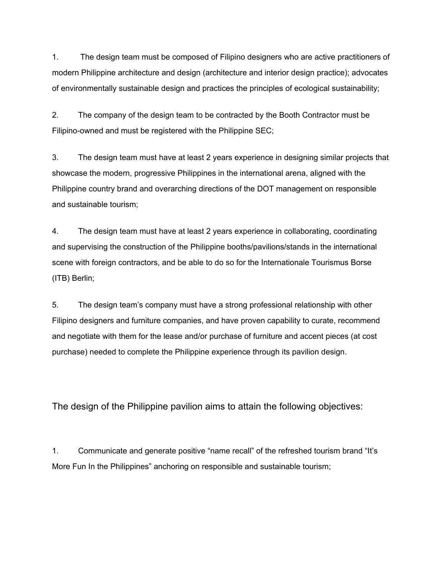1. The design team must be composed of Filipino designers who are active practitioners of modern Philippine architecture and design (architecture and interior design practice); advocates of environmentally sustainable design and practices the principles of ecological sustainability;

2. The company of the design team to be contracted by the Booth Contractor must be Filipino-owned and must be registered with the Philippine SEC;

3. The design team must have at least 2 years experience in designing similar projects that showcase the modern, progressive Philippines in the international arena, aligned with the Philippine country brand and overarching directions of the DOT management on responsible and sustainable tourism;

4. The design team must have at least 2 years experience in collaborating, coordinating and supervising the construction of the Philippine booths/pavilions/stands in the international scene with foreign contractors, and be able to do so for the Internationale Tourismus Borse (ITB) Berlin;

5. The design team's company must have a strong professional relationship with other Filipino designers and furniture companies, and have proven capability to curate, recommend and negotiate with them for the lease and/or purchase of furniture and accent pieces (at cost purchase) needed to complete the Philippine experience through its pavilion design.

The design of the Philippine pavilion aims to attain the following objectives:

1. Communicate and generate positive "name recall" of the refreshed tourism brand "It's More Fun In the Philippines" anchoring on responsible and sustainable tourism;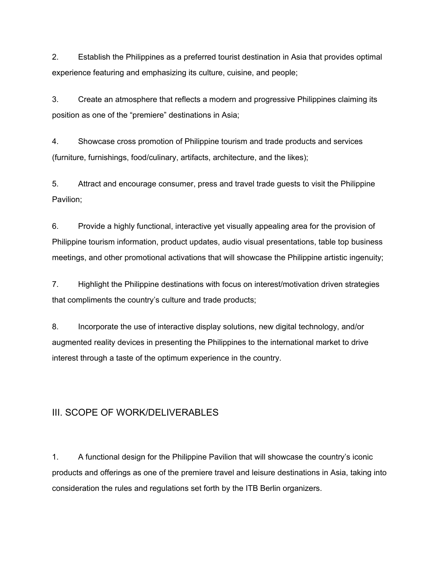2. Establish the Philippines as a preferred tourist destination in Asia that provides optimal experience featuring and emphasizing its culture, cuisine, and people;

3. Create an atmosphere that reflects a modern and progressive Philippines claiming its position as one of the "premiere" destinations in Asia;

4. Showcase cross promotion of Philippine tourism and trade products and services (furniture, furnishings, food/culinary, artifacts, architecture, and the likes);

5. Attract and encourage consumer, press and travel trade guests to visit the Philippine Pavilion;

6. Provide a highly functional, interactive yet visually appealing area for the provision of Philippine tourism information, product updates, audio visual presentations, table top business meetings, and other promotional activations that will showcase the Philippine artistic ingenuity;

7. Highlight the Philippine destinations with focus on interest/motivation driven strategies that compliments the country's culture and trade products;

8. Incorporate the use of interactive display solutions, new digital technology, and/or augmented reality devices in presenting the Philippines to the international market to drive interest through a taste of the optimum experience in the country.

#### III. SCOPE OF WORK/DELIVERABLES

1. A functional design for the Philippine Pavilion that will showcase the country's iconic products and offerings as one of the premiere travel and leisure destinations in Asia, taking into consideration the rules and regulations set forth by the ITB Berlin organizers.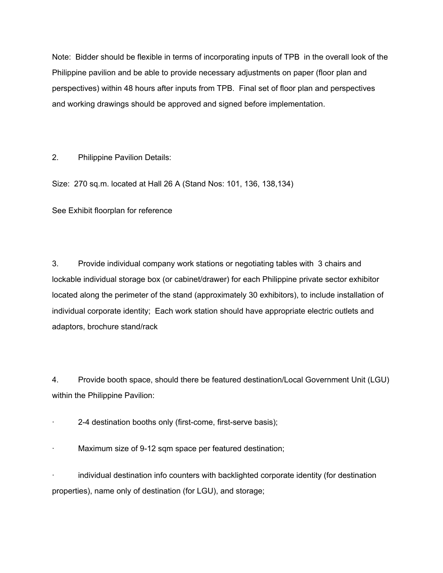Note: Bidder should be flexible in terms of incorporating inputs of TPB in the overall look of the Philippine pavilion and be able to provide necessary adjustments on paper (floor plan and perspectives) within 48 hours after inputs from TPB. Final set of floor plan and perspectives and working drawings should be approved and signed before implementation.

2. Philippine Pavilion Details:

Size: 270 sq.m. located at Hall 26 A (Stand Nos: 101, 136, 138,134)

See Exhibit floorplan for reference

3. Provide individual company work stations or negotiating tables with 3 chairs and lockable individual storage box (or cabinet/drawer) for each Philippine private sector exhibitor located along the perimeter of the stand (approximately 30 exhibitors), to include installation of individual corporate identity; Each work station should have appropriate electric outlets and adaptors, brochure stand/rack

4. Provide booth space, should there be featured destination/Local Government Unit (LGU) within the Philippine Pavilion:

2-4 destination booths only (first-come, first-serve basis);

Maximum size of 9-12 sqm space per featured destination;

· individual destination info counters with backlighted corporate identity (for destination properties), name only of destination (for LGU), and storage;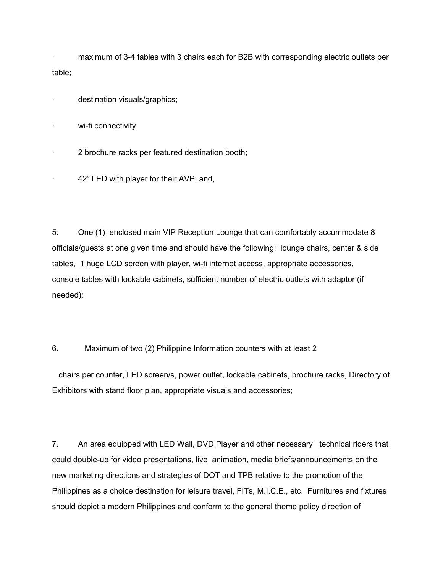maximum of 3-4 tables with 3 chairs each for B2B with corresponding electric outlets per table;

destination visuals/graphics;

wi-fi connectivity;

- · 2 brochure racks per featured destination booth;
- 42" LED with player for their AVP; and,

5. One (1) enclosed main VIP Reception Lounge that can comfortably accommodate 8 officials/guests at one given time and should have the following: lounge chairs, center & side tables, 1 huge LCD screen with player, wi-fi internet access, appropriate accessories, console tables with lockable cabinets, sufficient number of electric outlets with adaptor (if needed);

6. Maximum of two (2) Philippine Information counters with at least 2

chairs per counter, LED screen/s, power outlet, lockable cabinets, brochure racks, Directory of Exhibitors with stand floor plan, appropriate visuals and accessories;

7. An area equipped with LED Wall, DVD Player and other necessary technical riders that could double-up for video presentations, live animation, media briefs/announcements on the new marketing directions and strategies of DOT and TPB relative to the promotion of the Philippines as a choice destination for leisure travel, FITs, M.I.C.E., etc. Furnitures and fixtures should depict a modern Philippines and conform to the general theme policy direction of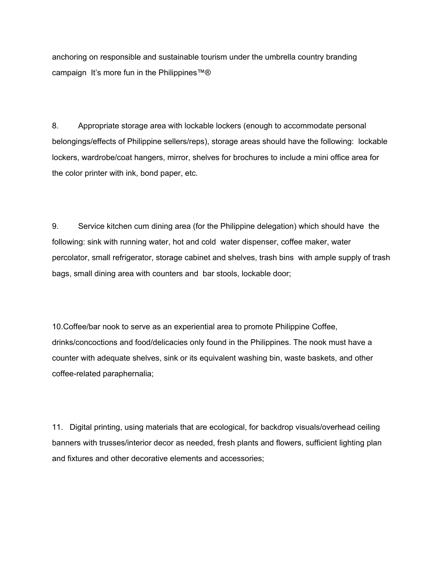anchoring on responsible and sustainable tourism under the umbrella country branding campaign It's more fun in the Philippines™®

8. Appropriate storage area with lockable lockers (enough to accommodate personal belongings/effects of Philippine sellers/reps), storage areas should have the following: lockable lockers, wardrobe/coat hangers, mirror, shelves for brochures to include a mini office area for the color printer with ink, bond paper, etc.

9. Service kitchen cum dining area (for the Philippine delegation) which should have the following: sink with running water, hot and cold water dispenser, coffee maker, water percolator, small refrigerator, storage cabinet and shelves, trash bins with ample supply of trash bags, small dining area with counters and bar stools, lockable door;

10.Coffee/bar nook to serve as an experiential area to promote Philippine Coffee, drinks/concoctions and food/delicacies only found in the Philippines. The nook must have a counter with adequate shelves, sink or its equivalent washing bin, waste baskets, and other coffee-related paraphernalia;

11. Digital printing, using materials that are ecological, for backdrop visuals/overhead ceiling banners with trusses/interior decor as needed, fresh plants and flowers, sufficient lighting plan and fixtures and other decorative elements and accessories;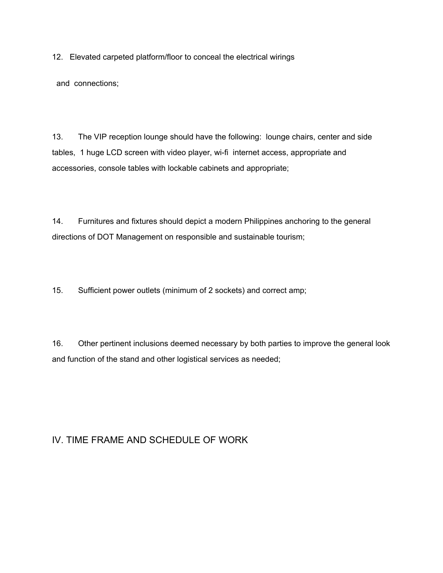12. Elevated carpeted platform/floor to conceal the electrical wirings

and connections;

13. The VIP reception lounge should have the following: lounge chairs, center and side tables, 1 huge LCD screen with video player, wi-fi internet access, appropriate and accessories, console tables with lockable cabinets and appropriate;

14. Furnitures and fixtures should depict a modern Philippines anchoring to the general directions of DOT Management on responsible and sustainable tourism;

15. Sufficient power outlets (minimum of 2 sockets) and correct amp;

16. Other pertinent inclusions deemed necessary by both parties to improve the general look and function of the stand and other logistical services as needed;

## IV. TIME FRAME AND SCHEDULE OF WORK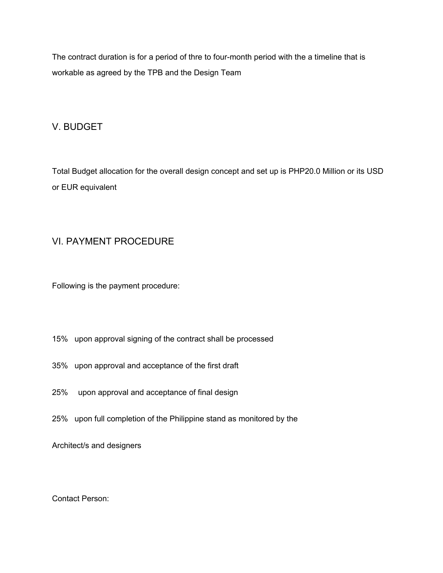The contract duration is for a period of thre to four-month period with the a timeline that is workable as agreed by the TPB and the Design Team

## V. BUDGET

Total Budget allocation for the overall design concept and set up is PHP20.0 Million or its USD or EUR equivalent

## VI. PAYMENT PROCEDURE

Following is the payment procedure:

- 15% upon approval signing of the contract shall be processed
- 35% upon approval and acceptance of the first draft
- 25% upon approval and acceptance of final design
- 25% upon full completion of the Philippine stand as monitored by the

Architect/s and designers

Contact Person: